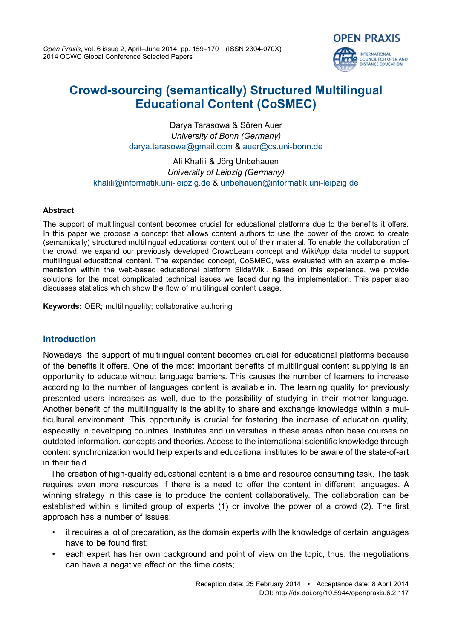

# **Crowd-sourcing (semantically) Structured Multilingual Educational Content (CoSMEC)**

Darya Tarasowa & Sören Auer *University of Bonn (Germany)* [darya.tarasowa@gmail.com](mailto:darya.tarasowa@gmail.com) & [auer@cs.uni-bonn.de](mailto:auer@cs.uni-bonn.de)

Ali Khalili & Jörg Unbehauen *University of Leipzig (Germany)* [khalili@informatik.uni-leipzig.de](mailto:khalili@informatik.uni-leipzig.de) & [unbehauen@informatik.uni-leipzig.de](mailto:unbehauen@informatik.uni-leipzig.de)

### **Abstract**

The support of multilingual content becomes crucial for educational platforms due to the benefits it offers. In this paper we propose a concept that allows content authors to use the power of the crowd to create (semantically) structured multilingual educational content out of their material. To enable the collaboration of the crowd, we expand our previously developed CrowdLearn concept and WikiApp data model to support multilingual educational content. The expanded concept, CoSMEC, was evaluated with an example implementation within the web-based educational platform SlideWiki. Based on this experience, we provide solutions for the most complicated technical issues we faced during the implementation. This paper also discusses statistics which show the flow of multilingual content usage.

**Keywords:** OER; multilinguality; collaborative authoring

# **Introduction**

Nowadays, the support of multilingual content becomes crucial for educational platforms because of the benefits it offers. One of the most important benefits of multilingual content supplying is an opportunity to educate without language barriers. This causes the number of learners to increase according to the number of languages content is available in. The learning quality for previously presented users increases as well, due to the possibility of studying in their mother language. Another benefit of the multilinguality is the ability to share and exchange knowledge within a multicultural environment. This opportunity is crucial for fostering the increase of education quality, especially in developing countries. Institutes and universities in these areas often base courses on outdated information, concepts and theories. Access to the international scientific knowledge through content synchronization would help experts and educational institutes to be aware of the state-of-art in their field.

The creation of high-quality educational content is a time and resource consuming task. The task requires even more resources if there is a need to offer the content in different languages. A winning strategy in this case is to produce the content collaboratively. The collaboration can be established within a limited group of experts (1) or involve the power of a crowd (2). The first approach has a number of issues:

- it requires a lot of preparation, as the domain experts with the knowledge of certain languages have to be found first;
- each expert has her own background and point of view on the topic, thus, the negotiations can have a negative effect on the time costs;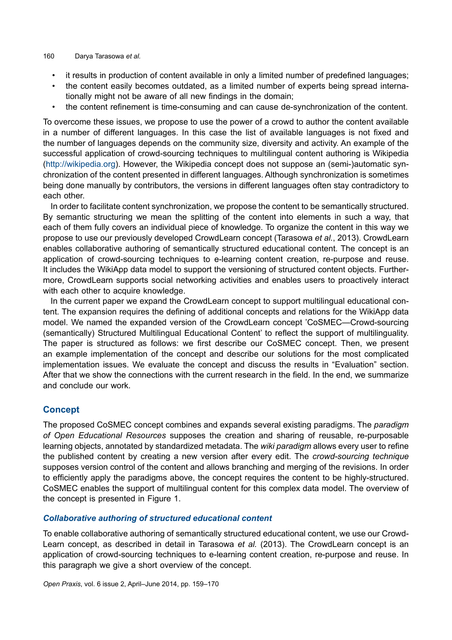### 160 Darya Tarasowa *et al.*

- it results in production of content available in only a limited number of predefined languages;
- the content easily becomes outdated, as a limited number of experts being spread internationally might not be aware of all new findings in the domain;
- the content refinement is time-consuming and can cause de-synchronization of the content.

To overcome these issues, we propose to use the power of a crowd to author the content available in a number of different languages. In this case the list of available languages is not fixed and the number of languages depends on the community size, diversity and activity. An example of the successful application of crowd-sourcing techniques to multilingual content authoring is Wikipedia ([http://wikipedia.org](http://wikipedia.org/)). However, the Wikipedia concept does not suppose an (semi-)automatic synchronization of the content presented in different languages. Although synchronization is sometimes being done manually by contributors, the versions in different languages often stay contradictory to each other.

In order to facilitate content synchronization, we propose the content to be semantically structured. By semantic structuring we mean the splitting of the content into elements in such a way, that each of them fully covers an individual piece of knowledge. To organize the content in this way we propose to use our previously developed CrowdLearn concept (Tarasowa *et al.*, 2013). CrowdLearn enables collaborative authoring of semantically structured educational content. The concept is an application of crowd-sourcing techniques to e-learning content creation, re-purpose and reuse. It includes the WikiApp data model to support the versioning of structured content objects. Furthermore, CrowdLearn supports social networking activities and enables users to proactively interact with each other to acquire knowledge.

In the current paper we expand the CrowdLearn concept to support multilingual educational content. The expansion requires the defining of additional concepts and relations for the WikiApp data model. We named the expanded version of the CrowdLearn concept 'CoSMEC—Crowd-sourcing (semantically) Structured Multilingual Educational Content' to reflect the support of multilinguality. The paper is structured as follows: we first describe our CoSMEC concept. Then, we present an example implementation of the concept and describe our solutions for the most complicated implementation issues. We evaluate the concept and discuss the results in "Evaluation" section. After that we show the connections with the current research in the field. In the end, we summarize and conclude our work.

# **Concept**

The proposed CoSMEC concept combines and expands several existing paradigms. The *paradigm of Open Educational Resources* supposes the creation and sharing of reusable, re-purposable learning objects, annotated by standardized metadata. The *wiki paradigm* allows every user to refine the published content by creating a new version after every edit. The *crowd-sourcing technique* supposes version control of the content and allows branching and merging of the revisions. In order to efficiently apply the paradigms above, the concept requires the content to be highly-structured. CoSMEC enables the support of multilingual content for this complex data model. The overview of the concept is presented in Figure 1.

### *Collaborative authoring of structured educational content*

To enable collaborative authoring of semantically structured educational content, we use our Crowd-Learn concept, as described in detail in Tarasowa *et al.* (2013). The CrowdLearn concept is an application of crowd-sourcing techniques to e-learning content creation, re-purpose and reuse. In this paragraph we give a short overview of the concept.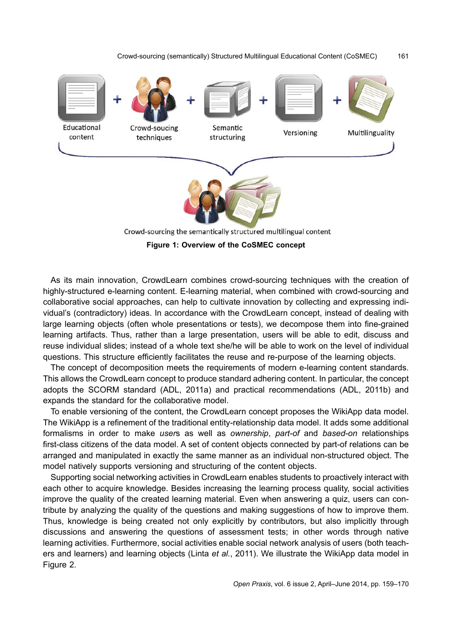Crowd-sourcing (semantically) Structured Multilingual Educational Content (CoSMEC) 161



**Figure 1: Overview of the CoSMEC concept**

As its main innovation, CrowdLearn combines crowd-sourcing techniques with the creation of highly-structured e-learning content. E-learning material, when combined with crowd-sourcing and collaborative social approaches, can help to cultivate innovation by collecting and expressing individual's (contradictory) ideas. In accordance with the CrowdLearn concept, instead of dealing with large learning objects (often whole presentations or tests), we decompose them into fine-grained learning artifacts. Thus, rather than a large presentation, users will be able to edit, discuss and reuse individual slides; instead of a whole text she/he will be able to work on the level of individual questions. This structure efficiently facilitates the reuse and re-purpose of the learning objects.

The concept of decomposition meets the requirements of modern e-learning content standards. This allows the CrowdLearn concept to produce standard adhering content. In particular, the concept adopts the SCORM standard (ADL, 2011a) and practical recommendations (ADL, 2011b) and expands the standard for the collaborative model.

To enable versioning of the content, the CrowdLearn concept proposes the WikiApp data model. The WikiApp is a refinement of the traditional entity-relationship data model. It adds some additional formalisms in order to make *user*s as well as *ownership*, *part-of* and *based-on* relationships first-class citizens of the data model. A set of content objects connected by part-of relations can be arranged and manipulated in exactly the same manner as an individual non-structured object. The model natively supports versioning and structuring of the content objects.

Supporting social networking activities in CrowdLearn enables students to proactively interact with each other to acquire knowledge. Besides increasing the learning process quality, social activities improve the quality of the created learning material. Even when answering a quiz, users can contribute by analyzing the quality of the questions and making suggestions of how to improve them. Thus, knowledge is being created not only explicitly by contributors, but also implicitly through discussions and answering the questions of assessment tests; in other words through native learning activities. Furthermore, social activities enable social network analysis of users (both teachers and learners) and learning objects (Linta *et al.*, 2011). We illustrate the WikiApp data model in Figure 2.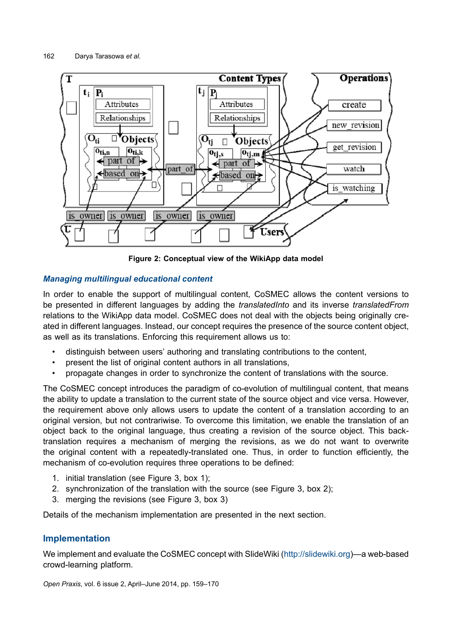

**Figure 2: Conceptual view of the WikiApp data model**

### *Managing multilingual educational content*

In order to enable the support of multilingual content, CoSMEC allows the content versions to be presented in different languages by adding the *translatedInto* and its inverse *translatedFrom* relations to the WikiApp data model. CoSMEC does not deal with the objects being originally created in different languages. Instead, our concept requires the presence of the source content object, as well as its translations. Enforcing this requirement allows us to:

- distinguish between users' authoring and translating contributions to the content,
- present the list of original content authors in all translations,
- propagate changes in order to synchronize the content of translations with the source.

The CoSMEC concept introduces the paradigm of co-evolution of multilingual content, that means the ability to update a translation to the current state of the source object and vice versa. However, the requirement above only allows users to update the content of a translation according to an original version, but not contrariwise. To overcome this limitation, we enable the translation of an object back to the original language, thus creating a revision of the source object. This backtranslation requires a mechanism of merging the revisions, as we do not want to overwrite the original content with a repeatedly-translated one. Thus, in order to function efficiently, the mechanism of co-evolution requires three operations to be defined:

- 1. initial translation (see Figure 3, box 1);
- 2. synchronization of the translation with the source (see Figure 3, box 2);
- 3. merging the revisions (see Figure 3, box 3)

Details of the mechanism implementation are presented in the next section.

# **Implementation**

We implement and evaluate the CoSMEC concept with SlideWiki [\(http://slidewiki.org\)](http://slidewiki.org/)—a web-based crowd-learning platform.

*Open Praxis*, vol. 6 issue 2, April–June 2014, pp. 159–170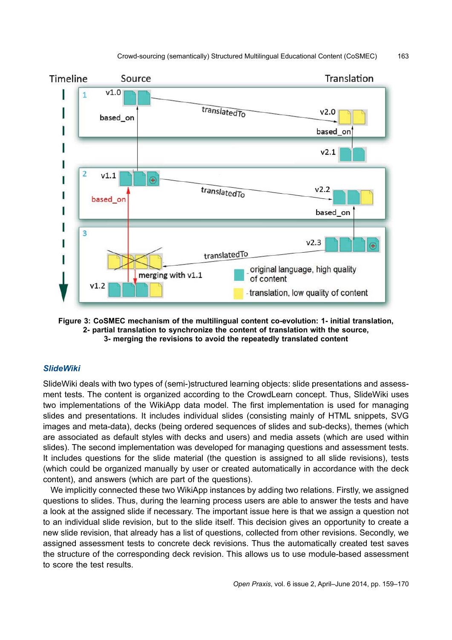

**Figure 3: CoSMEC mechanism of the multilingual content co-evolution: 1- initial translation, 2- partial translation to synchronize the content of translation with the source, 3- merging the revisions to avoid the repeatedly translated content**

### *SlideWiki*

SlideWiki deals with two types of (semi-)structured learning objects: slide presentations and assessment tests. The content is organized according to the CrowdLearn concept. Thus, SlideWiki uses two implementations of the WikiApp data model. The first implementation is used for managing slides and presentations. It includes individual slides (consisting mainly of HTML snippets, SVG images and meta-data), decks (being ordered sequences of slides and sub-decks), themes (which are associated as default styles with decks and users) and media assets (which are used within slides). The second implementation was developed for managing questions and assessment tests. It includes questions for the slide material (the question is assigned to all slide revisions), tests (which could be organized manually by user or created automatically in accordance with the deck content), and answers (which are part of the questions).

We implicitly connected these two WikiApp instances by adding two relations. Firstly, we assigned questions to slides. Thus, during the learning process users are able to answer the tests and have a look at the assigned slide if necessary. The important issue here is that we assign a question not to an individual slide revision, but to the slide itself. This decision gives an opportunity to create a new slide revision, that already has a list of questions, collected from other revisions. Secondly, we assigned assessment tests to concrete deck revisions. Thus the automatically created test saves the structure of the corresponding deck revision. This allows us to use module-based assessment to score the test results.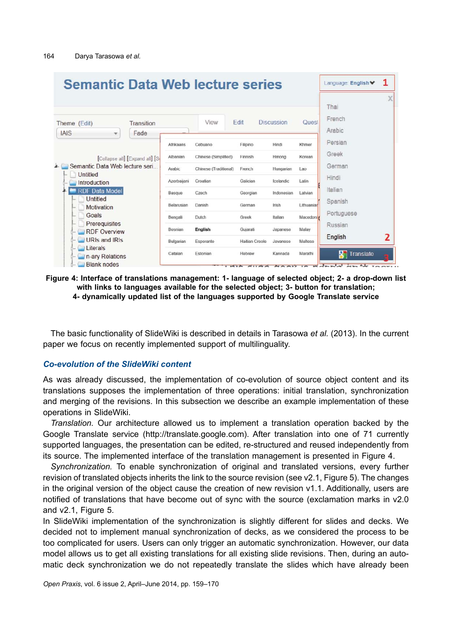| <b>Semantic Data Web lecture series</b>                                                                                                                                                                                   |  |             |                       |                              |                   |                                            | Language: English♥                                                                 | 1                       |
|---------------------------------------------------------------------------------------------------------------------------------------------------------------------------------------------------------------------------|--|-------------|-----------------------|------------------------------|-------------------|--------------------------------------------|------------------------------------------------------------------------------------|-------------------------|
| Theme (Edit)<br>Transition<br><b>IAIS</b><br>Fade                                                                                                                                                                         |  |             | View                  | Edit                         | <b>Discussion</b> | Quest                                      | Thai<br>French<br>Arabic                                                           | X                       |
|                                                                                                                                                                                                                           |  | Afrikaans   | Cebuano               | Filipino                     | Hindi             | Khmer                                      | Persian                                                                            |                         |
| [Collapse all] [Expand all] [S]<br>Semantic Data Web lecture seri<br>Untitled<br>Introduction<br><b>RDF Data Model</b><br>Untitled<br>Motivation<br>Goals<br>Prerequisites<br><b>RDF Overview</b><br><b>URIs and IRIS</b> |  | Albanian    | Chinese (Simplified)  | Finnish                      | Hmong             | Korean                                     | Greek<br>German<br>Hindi<br>Italian<br>Spanish<br>Portuguese<br>Russian<br>English |                         |
|                                                                                                                                                                                                                           |  | Arabic      | Chinese (Traditional) | French                       | Hungarian         | Lao                                        |                                                                                    |                         |
|                                                                                                                                                                                                                           |  | Azerbaijani | Croatian              | Galician                     | Icelandic         | Latin                                      |                                                                                    |                         |
|                                                                                                                                                                                                                           |  | Basque      | Czech                 | Georgian                     | Indonesian        | Latvian                                    |                                                                                    |                         |
|                                                                                                                                                                                                                           |  | Belarusian  | Danish                | German                       | Irish             | Lithuanian                                 |                                                                                    |                         |
|                                                                                                                                                                                                                           |  | Bengali     | Dutch                 | Greek                        | Italian           | Macedoni                                   |                                                                                    |                         |
|                                                                                                                                                                                                                           |  | Bosnian     | English               | Gujarati                     | Japanese          | Malay                                      |                                                                                    |                         |
|                                                                                                                                                                                                                           |  | Bulgarian   | Esperanto             | Haitian Creole               | Javanese          | Maltese                                    |                                                                                    | $\overline{\mathbf{2}}$ |
| Literals<br>n-ary Relations                                                                                                                                                                                               |  | Catalan     | Estonian              | Hebrew                       | Kannada           | Marathi                                    | R.<br><b>Translate</b>                                                             |                         |
| <b>Blank nodes</b><br>B-                                                                                                                                                                                                  |  |             |                       | <b>INTA</b><br>$\sim$ $\sim$ | A A B             | $\overline{\phantom{a}}$<br>$\overline{1}$ | $d$ r role an $4k$                                                                 |                         |

**Figure 4: Interface of translations management: 1- language of selected object; 2- a drop-down list with links to languages available for the selected object; 3- button for translation; 4- dynamically updated list of the languages supported by Google Translate service**

The basic functionality of SlideWiki is described in details in Tarasowa *et al.* (2013). In the current paper we focus on recently implemented support of multilinguality.

### *Co-evolution of the SlideWiki content*

As was already discussed, the implementation of co-evolution of source object content and its translations supposes the implementation of three operations: initial translation, synchronization and merging of the revisions. In this subsection we describe an example implementation of these operations in SlideWiki.

*Translation.* Our architecture allowed us to implement a translation operation backed by the Google Translate service (http://translate.google.com). After translation into one of 71 currently supported languages, the presentation can be edited, re-structured and reused independently from its source. The implemented interface of the translation management is presented in Figure 4.

*Synchronization.* To enable synchronization of original and translated versions, every further revision of translated objects inherits the link to the source revision (see v2.1, Figure 5). The changes in the original version of the object cause the creation of new revision v1.1. Additionally, users are notified of translations that have become out of sync with the source (exclamation marks in v2.0 and v2.1, Figure 5.

In SlideWiki implementation of the synchronization is slightly different for slides and decks. We decided not to implement manual synchronization of decks, as we considered the process to be too complicated for users. Users can only trigger an automatic synchronization. However, our data model allows us to get all existing translations for all existing slide revisions. Then, during an automatic deck synchronization we do not repeatedly translate the slides which have already been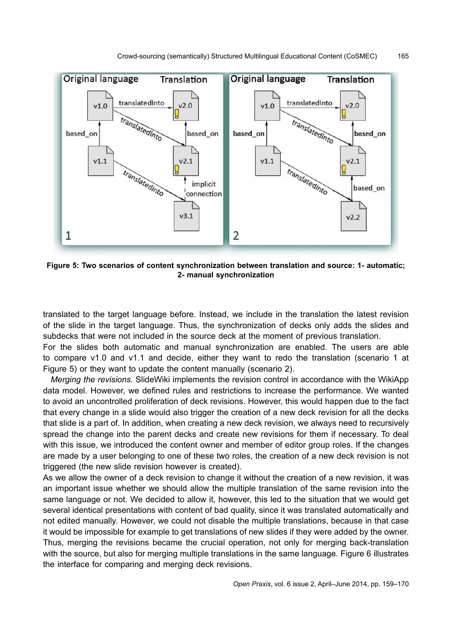Crowd-sourcing (semantically) Structured Multilingual Educational Content (CoSMEC) 165



**Figure 5: Two scenarios of content synchronization between translation and source: 1- automatic; 2- manual synchronization**

translated to the target language before. Instead, we include in the translation the latest revision of the slide in the target language. Thus, the synchronization of decks only adds the slides and subdecks that were not included in the source deck at the moment of previous translation.

For the slides both automatic and manual synchronization are enabled. The users are able to compare v1.0 and v1.1 and decide, either they want to redo the translation (scenario 1 at Figure 5) or they want to update the content manually (scenario 2).

*Merging the revisions.* SlideWiki implements the revision control in accordance with the WikiApp data model. However, we defined rules and restrictions to increase the performance. We wanted to avoid an uncontrolled proliferation of deck revisions. However, this would happen due to the fact that every change in a slide would also trigger the creation of a new deck revision for all the decks that slide is a part of. In addition, when creating a new deck revision, we always need to recursively spread the change into the parent decks and create new revisions for them if necessary. To deal with this issue, we introduced the content owner and member of editor group roles. If the changes are made by a user belonging to one of these two roles, the creation of a new deck revision is not triggered (the new slide revision however is created).

As we allow the owner of a deck revision to change it without the creation of a new revision, it was an important issue whether we should allow the multiple translation of the same revision into the same language or not. We decided to allow it, however, this led to the situation that we would get several identical presentations with content of bad quality, since it was translated automatically and not edited manually. However, we could not disable the multiple translations, because in that case it would be impossible for example to get translations of new slides if they were added by the owner. Thus, merging the revisions became the crucial operation, not only for merging back-translation with the source, but also for merging multiple translations in the same language. Figure 6 illustrates the interface for comparing and merging deck revisions.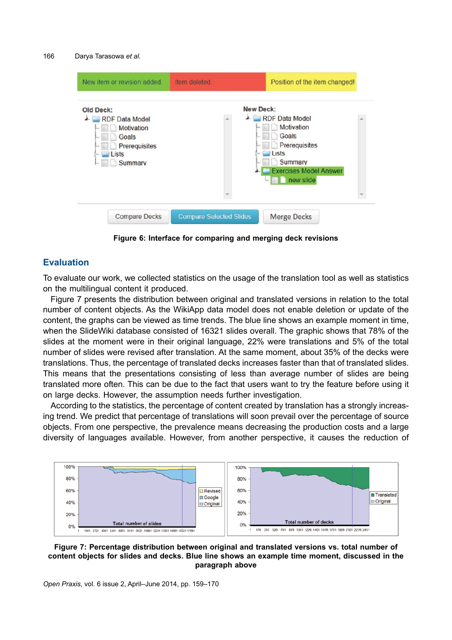#### 166 Darya Tarasowa *et al.*

| New item or revision added                                                                     | Item deleted                   | Position of the item changed!                                                                                                                                      |
|------------------------------------------------------------------------------------------------|--------------------------------|--------------------------------------------------------------------------------------------------------------------------------------------------------------------|
| <b>Old Deck:</b><br>RDF Data Model<br>Motivation<br>Goals<br>Prerequisites<br>Lists<br>Summary |                                | <b>New Deck:</b><br><b>A</b> RDF Data Model<br>Motivation<br>Goals<br>Prerequisites<br><b>Lists</b><br>Summary<br><b>Exercises Model Answer</b><br>new slide<br>-- |
| <b>Compare Decks</b>                                                                           | <b>Compare Selected Slides</b> | <b>Merge Decks</b>                                                                                                                                                 |

**Figure 6: Interface for comparing and merging deck revisions**

### **Evaluation**

To evaluate our work, we collected statistics on the usage of the translation tool as well as statistics on the multilingual content it produced.

Figure 7 presents the distribution between original and translated versions in relation to the total number of content objects. As the WikiApp data model does not enable deletion or update of the content, the graphs can be viewed as time trends. The blue line shows an example moment in time, when the SlideWiki database consisted of 16321 slides overall. The graphic shows that 78% of the slides at the moment were in their original language, 22% were translations and 5% of the total number of slides were revised after translation. At the same moment, about 35% of the decks were translations. Thus, the percentage of translated decks increases faster than that of translated slides. This means that the presentations consisting of less than average number of slides are being translated more often. This can be due to the fact that users want to try the feature before using it on large decks. However, the assumption needs further investigation.

According to the statistics, the percentage of content created by translation has a strongly increasing trend. We predict that percentage of translations will soon prevail over the percentage of source objects. From one perspective, the prevalence means decreasing the production costs and a large diversity of languages available. However, from another perspective, it causes the reduction of



**Figure 7: Percentage distribution between original and translated versions vs. total number of content objects for slides and decks. Blue line shows an example time moment, discussed in the paragraph above**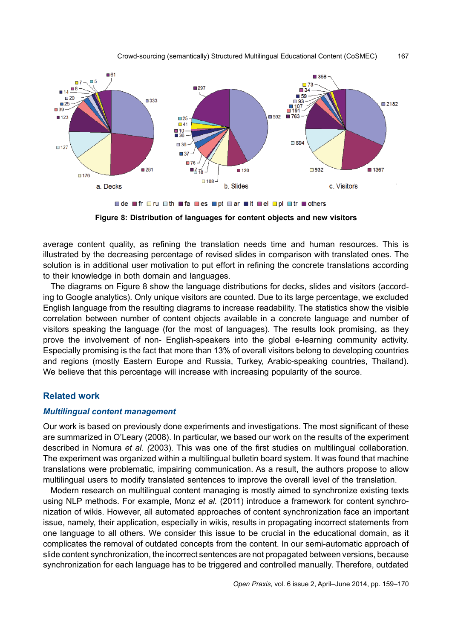



**Figure 8: Distribution of languages for content objects and new visitors**

average content quality, as refining the translation needs time and human resources. This is illustrated by the decreasing percentage of revised slides in comparison with translated ones. The solution is in additional user motivation to put effort in refining the concrete translations according to their knowledge in both domain and languages.

The diagrams on Figure 8 show the language distributions for decks, slides and visitors (according to Google analytics). Only unique visitors are counted. Due to its large percentage, we excluded English language from the resulting diagrams to increase readability. The statistics show the visible correlation between number of content objects available in a concrete language and number of visitors speaking the language (for the most of languages). The results look promising, as they prove the involvement of non- English-speakers into the global e-learning community activity. Especially promising is the fact that more than 13% of overall visitors belong to developing countries and regions (mostly Eastern Europe and Russia, Turkey, Arabic-speaking countries, Thailand). We believe that this percentage will increase with increasing popularity of the source.

### **Related work**

#### *Multilingual content management*

Our work is based on previously done experiments and investigations. The most significant of these are summarized in O'Leary (2008). In particular, we based our work on the results of the experiment described in Nomura *et al. (*2003). This was one of the first studies on multilingual collaboration. The experiment was organized within a multilingual bulletin board system. It was found that machine translations were problematic, impairing communication. As a result, the authors propose to allow multilingual users to modify translated sentences to improve the overall level of the translation.

Modern research on multilingual content managing is mostly aimed to synchronize existing texts using NLP methods. For example, Monz *et al.* (2011) introduce a framework for content synchronization of wikis. However, all automated approaches of content synchronization face an important issue, namely, their application, especially in wikis, results in propagating incorrect statements from one language to all others. We consider this issue to be crucial in the educational domain, as it complicates the removal of outdated concepts from the content. In our semi-automatic approach of slide content synchronization, the incorrect sentences are not propagated between versions, because synchronization for each language has to be triggered and controlled manually. Therefore, outdated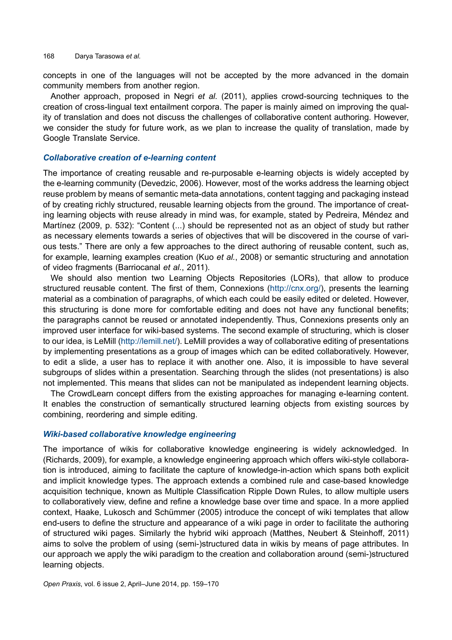concepts in one of the languages will not be accepted by the more advanced in the domain community members from another region.

Another approach, proposed in Negri *et al.* (2011), applies crowd-sourcing techniques to the creation of cross-lingual text entailment corpora. The paper is mainly aimed on improving the quality of translation and does not discuss the challenges of collaborative content authoring. However, we consider the study for future work, as we plan to increase the quality of translation, made by Google Translate Service.

### *Collaborative creation of e-learning content*

The importance of creating reusable and re-purposable e-learning objects is widely accepted by the e-learning community (Devedzic, 2006). However, most of the works address the learning object reuse problem by means of semantic meta-data annotations, content tagging and packaging instead of by creating richly structured, reusable learning objects from the ground. The importance of creating learning objects with reuse already in mind was, for example, stated by Pedreira, Méndez and Martínez (2009, p. 532): "Content (...) should be represented not as an object of study but rather as necessary elements towards a series of objectives that will be discovered in the course of various tests." There are only a few approaches to the direct authoring of reusable content, such as, for example, learning examples creation (Kuo *et al.*, 2008) or semantic structuring and annotation of video fragments (Barriocanal *et al.*, 2011).

We should also mention two Learning Objects Repositories (LORs), that allow to produce structured reusable content. The first of them, Connexions (<http://cnx.org/>), presents the learning material as a combination of paragraphs, of which each could be easily edited or deleted. However, this structuring is done more for comfortable editing and does not have any functional benefits; the paragraphs cannot be reused or annotated independently. Thus, Connexions presents only an improved user interface for wiki-based systems. The second example of structuring, which is closer to our idea, is LeMill [\(http://lemill.net/](http://lemill.net/)). LeMill provides a way of collaborative editing of presentations by implementing presentations as a group of images which can be edited collaboratively. However, to edit a slide, a user has to replace it with another one. Also, it is impossible to have several subgroups of slides within a presentation. Searching through the slides (not presentations) is also not implemented. This means that slides can not be manipulated as independent learning objects.

The CrowdLearn concept differs from the existing approaches for managing e-learning content. It enables the construction of semantically structured learning objects from existing sources by combining, reordering and simple editing.

#### *Wiki-based collaborative knowledge engineering*

The importance of wikis for collaborative knowledge engineering is widely acknowledged. In (Richards, 2009), for example, a knowledge engineering approach which offers wiki-style collaboration is introduced, aiming to facilitate the capture of knowledge-in-action which spans both explicit and implicit knowledge types. The approach extends a combined rule and case-based knowledge acquisition technique, known as Multiple Classification Ripple Down Rules, to allow multiple users to collaboratively view, define and refine a knowledge base over time and space. In a more applied context, Haake, Lukosch and Schümmer (2005) introduce the concept of wiki templates that allow end-users to define the structure and appearance of a wiki page in order to facilitate the authoring of structured wiki pages. Similarly the hybrid wiki approach (Matthes, Neubert & Steinhoff, 2011) aims to solve the problem of using (semi-)structured data in wikis by means of page attributes. In our approach we apply the wiki paradigm to the creation and collaboration around (semi-)structured learning objects.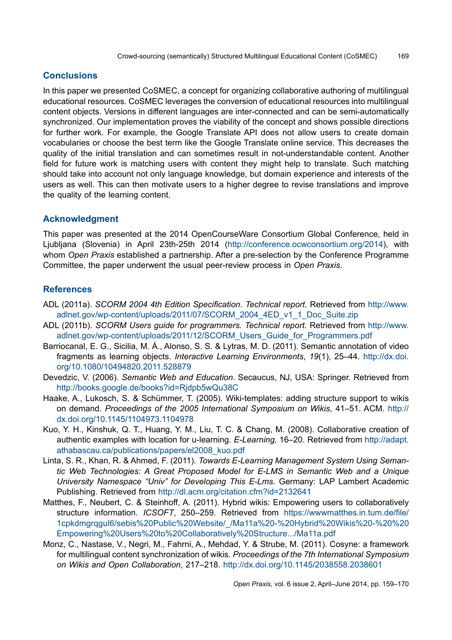# **Conclusions**

In this paper we presented CoSMEC, a concept for organizing collaborative authoring of multilingual educational resources. CoSMEC leverages the conversion of educational resources into multilingual content objects. Versions in different languages are inter-connected and can be semi-automatically synchronized. Our implementation proves the viability of the concept and shows possible directions for further work. For example, the Google Translate API does not allow users to create domain vocabularies or choose the best term like the Google Translate online service. This decreases the quality of the initial translation and can sometimes result in not-understandable content. Another field for future work is matching users with content they might help to translate. Such matching should take into account not only language knowledge, but domain experience and interests of the users as well. This can then motivate users to a higher degree to revise translations and improve the quality of the learning content.

# **Acknowledgment**

This paper was presented at the 2014 OpenCourseWare Consortium Global Conference, held in Ljubljana (Slovenia) in April 23th-25th 2014 ([http://conference.ocwconsortium.org/2014\)](http://conference.ocwconsortium.org/2014/), with whom *Open Praxis* established a partnership. After a pre-selection by the Conference Programme Committee, the paper underwent the usual peer-review process in *Open Praxis*.

# **References**

- ADL (2011a). *SCORM 2004 4th Edition Specification. Technical report*. Retrieved from [http://www.](http://www.adlnet.gov/wp-content/uploads/2011/07/SCORM_2004_4ED_v1_1_Doc_Suite.zip) [adlnet.gov/wp-content/uploads/2011/07/SCORM\\_2004\\_4ED\\_v1\\_1\\_Doc\\_Suite.zip](http://www.adlnet.gov/wp-content/uploads/2011/07/SCORM_2004_4ED_v1_1_Doc_Suite.zip)
- ADL (2011b). *SCORM Users guide for programmers. Technical report*. Retrieved from [http://www.](http://www.adlnet.gov/wp-content/uploads/2011/12/SCORM_Users_Guide_for_Programmers.pdf) [adlnet.gov/wp-content/uploads/2011/12/SCORM\\_Users\\_Guide\\_for\\_Programmers.pdf](http://www.adlnet.gov/wp-content/uploads/2011/12/SCORM_Users_Guide_for_Programmers.pdf)
- Barriocanal, E. G., Sicilia, M. Á., Alonso, S. S. & Lytras, M. D. (2011). Semantic annotation of video fragments as learning objects. *Interactive Learning Environments*, *19*(1), 25–44. [http://dx.doi.](http://dx.doi.org/10.1080/10494820.2011.528879) [org/10.1080/10494820.2011.528879](http://dx.doi.org/10.1080/10494820.2011.528879)
- Devedzic, V. (2006). *Semantic Web and Education*. Secaucus, NJ, USA: Springer. Retrieved from <http://books.google.de/books?id=Rjdpb5wQu38C>
- Haake, A., Lukosch, S. & Schümmer, T. (2005). Wiki-templates: adding structure support to wikis on demand. *Proceedings of the 2005 International Symposium on Wikis*, 41–51. ACM. [http://](http://dx.doi.org/10.1145/1104973.1104978) [dx.doi.org/10.1145/1104973.1104978](http://dx.doi.org/10.1145/1104973.1104978)
- Kuo, Y. H., Kinshuk, Q. T., Huang, Y. M., Liu, T. C. & Chang, M. (2008). Collaborative creation of authentic examples with location for u-learning. *E-Learning,* 16–20. Retrieved from [http://adapt.](http://adapt.athabascau.ca/publications/papers/el2008_kuo.pdf) [athabascau.ca/publications/papers/el2008\\_kuo.pdf](http://adapt.athabascau.ca/publications/papers/el2008_kuo.pdf)
- Linta, S. R., Khan, R. & Ahmed, F. (2011). *Towards E-Learning Management System Using Semantic Web Technologies: A Great Proposed Model for E-LMS in Semantic Web and a Unique University Namespace "Univ" for Developing This E-Lms.* Germany: LAP Lambert Academic Publishing. Retrieved from <http://dl.acm.org/citation.cfm?id=2132641>
- Matthes, F., Neubert, C. & Steinhoff, A. (2011). Hybrid wikis: Empowering users to collaboratively structure information. *ICSOFT*, 250–259. Retrieved from [https://wwwmatthes.in.tum.de/file/](https://wwwmatthes.in.tum.de/file/1cpkdmgrqgul6/sebis Public Website/_/Ma11a - Hybrid Wikis -  Empowering Users to Collaboratively Structure.../Ma11a.pdf) [1cpkdmgrqgul6/sebis%20Public%20Website/\\_/Ma11a%20-%20Hybrid%20Wikis%20-%20%20](https://wwwmatthes.in.tum.de/file/1cpkdmgrqgul6/sebis Public Website/_/Ma11a - Hybrid Wikis -  Empowering Users to Collaboratively Structure.../Ma11a.pdf) [Empowering%20Users%20to%20Collaboratively%20Structure.../Ma11a.pdf](https://wwwmatthes.in.tum.de/file/1cpkdmgrqgul6/sebis Public Website/_/Ma11a - Hybrid Wikis -  Empowering Users to Collaboratively Structure.../Ma11a.pdf)
- Monz, C., Nastase, V., Negri, M., Fahrni, A., Mehdad, Y. & Strube, M. (2011). Cosyne: a framework for multilingual content synchronization of wikis. *Proceedings of the 7th International Symposium on Wikis and Open Collaboration*, 217–218. <http://dx.doi.org/10.1145/2038558.2038601>